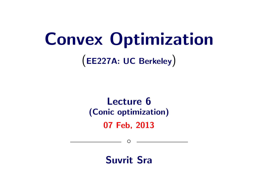# Convex Optimization

(EE227A: UC Berkeley)

## Lecture 6 (Conic optimization)

07 Feb, 2013

 $\circ$ 

Suvrit Sra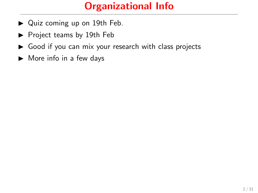### Organizational Info

- ▶ Quiz coming up on 19th Feb.
- $\blacktriangleright$  Project teams by 19th Feb
- $\triangleright$  Good if you can mix your research with class projects
- $\blacktriangleright$  More info in a few days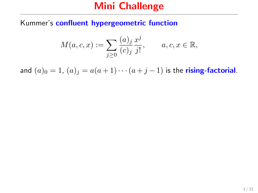#### Mini Challenge

Kummer's confluent hypergeometric function

$$
M(a,c,x) := \sum_{j\geq 0} \frac{(a)_j}{(c)_j} \frac{x^j}{j!}, \qquad a,c,x \in \mathbb{R},
$$

and  $(a)_0 = 1$ ,  $(a)_j = a(a+1)\cdots(a+j-1)$  is the **rising-factorial**.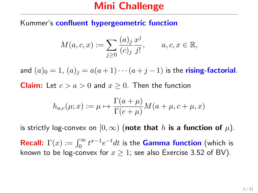#### Mini Challenge

Kummer's confluent hypergeometric function

$$
M(a,c,x) := \sum_{j\geq 0} \frac{(a)_j}{(c)_j} \frac{x^j}{j!}, \qquad a,c,x \in \mathbb{R},
$$

and  $(a)_0 = 1$ ,  $(a)_i = a(a+1)\cdots(a+i-1)$  is the **rising-factorial**.

**Claim:** Let  $c > a > 0$  and  $x \ge 0$ . Then the function

$$
h_{a,c}(\mu; x) := \mu \mapsto \frac{\Gamma(a + \mu)}{\Gamma(c + \mu)} M(a + \mu, c + \mu, x)
$$

is strictly log-convex on  $[0, \infty)$  (note that h is a function of  $\mu$ ).

**Recall:**  $\Gamma(x) := \int_0^\infty t^{x-1} e^{-t} dt$  is the **Gamma function** (which is known to be log-convex for  $x \ge 1$ ; see also Exercise 3.52 of BV).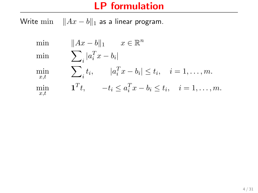#### LP formulation

Write min  $||Ax - b||_1$  as a linear program.

| min          | $  Ax-b  _1$ $x \in \mathbb{R}^n$                                        |
|--------------|--------------------------------------------------------------------------|
| $\min$       | $\sum_i  a_i^T x - b_i $                                                 |
| $\min_{x,t}$ | $\sum_{i} t_i, \qquad  a_i^T x - b_i  \leq t_i, \quad i = 1, \ldots, m.$ |
| $\min_{x,t}$ | $\mathbf{1}^T t$ , $-t_i \leq a_i^T x - b_i \leq t_i$ , $i = 1, , m$ .   |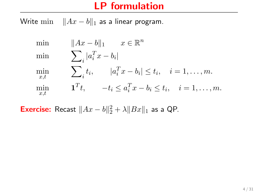#### LP formulation

Write min  $||Ax - b||_1$  as a linear program.

| $\min$       | $  Ax-b  _1$ $x \in \mathbb{R}^n$                                        |
|--------------|--------------------------------------------------------------------------|
| $\min$       | $\sum\nolimits_{i}  a_{i}^{T}x-b_{i} $                                   |
| $\min_{x,t}$ | $\sum_{i} t_i, \qquad  a_i^T x - b_i  \leq t_i, \quad i = 1, \ldots, m.$ |
| $\min_{x,t}$ | $\mathbf{1}^T t$ , $-t_i \leq a_i^T x - b_i \leq t_i$ , $i = 1, , m$ .   |

**Exercise:** Recast  $||Ax - b||_2^2 + \lambda ||Bx||_1$  as a QP.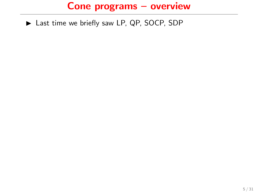▶ Last time we briefly saw LP, QP, SOCP, SDP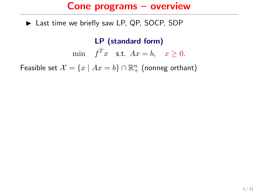▶ Last time we briefly saw LP, QP, SOCP, SDP

#### LP (standard form)

min  $f^T x$  s.t.  $Ax = b$ ,  $x \ge 0$ .

Feasible set  $\mathcal{X} = \{x \mid Ax = b\} \cap \mathbb{R}^n_+$  (nonneg orthant)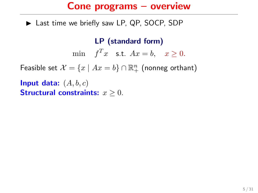$\blacktriangleright$  Last time we briefly saw LP, QP, SOCP, SDP

LP (standard form)

min  $f^T x$  s.t.  $Ax = b$ ,  $x \ge 0$ .

Feasible set  $\mathcal{X} = \{x \mid Ax = b\} \cap \mathbb{R}^n_+$  (nonneg orthant)

Input data:  $(A, b, c)$ Structural constraints:  $x > 0$ .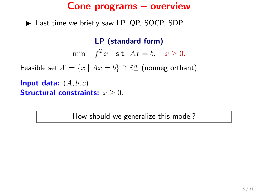$\blacktriangleright$  Last time we briefly saw LP, QP, SOCP, SDP

#### LP (standard form)

min  $f^T x$  s.t.  $Ax = b$ ,  $x \ge 0$ .

Feasible set  $\mathcal{X} = \{x \mid Ax = b\} \cap \mathbb{R}^n_+$  (nonneg orthant)

Input data:  $(A, b, c)$ **Structural constraints:**  $x > 0$ .

How should we generalize this model?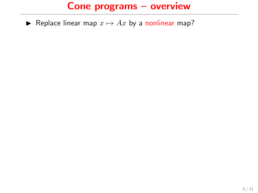► Replace linear map  $x \mapsto Ax$  by a nonlinear map?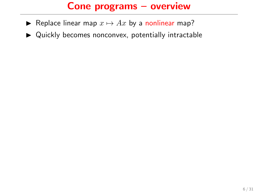- ► Replace linear map  $x \mapsto Ax$  by a nonlinear map?
- $\blacktriangleright$  Quickly becomes nonconvex, potentially intractable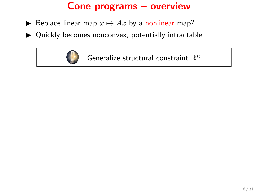- ► Replace linear map  $x \mapsto Ax$  by a nonlinear map?
- $\triangleright$  Quickly becomes nonconvex, potentially intractable



Generalize structural constraint  $\mathbb{R}^n_+$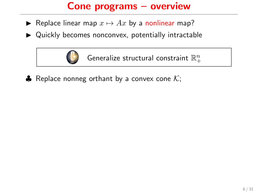- ► Replace linear map  $x \mapsto Ax$  by a nonlinear map?
- $\triangleright$  Quickly becomes nonconvex, potentially intractable



**♦** Replace nonneg orthant by a convex cone  $K$ ;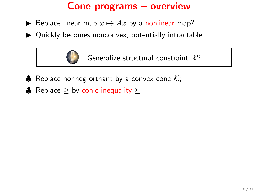- ► Replace linear map  $x \mapsto Ax$  by a nonlinear map?
- $\triangleright$  Quickly becomes nonconvex, potentially intractable



- $\clubsuit$  Replace nonneg orthant by a convex cone  $K$ ;
- **A** Replace > by conic inequality  $\succ$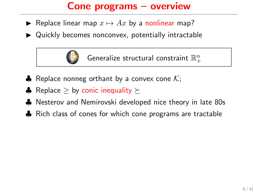- ► Replace linear map  $x \mapsto Ax$  by a nonlinear map?
- $\triangleright$  Quickly becomes nonconvex, potentially intractable



Generalize structural constraint  $\mathbb{R}^n_+$ 

- $\clubsuit$  Replace nonneg orthant by a convex cone  $\mathcal{K}$ ;
- **A** Replace > by conic inequality  $\succ$
- ♣ Nesterov and Nemirovski developed nice theory in late 80s
- ♣ Rich class of cones for which cone programs are tractable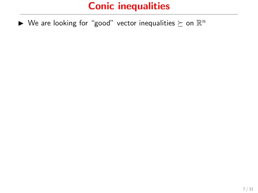$\blacktriangleright$  We are looking for "good" vector inequalities  $\succeq$  on  $\mathbb{R}^n$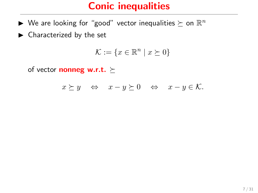- $\blacktriangleright$  We are looking for "good" vector inequalities  $\succeq$  on  $\mathbb{R}^n$
- $\blacktriangleright$  Characterized by the set

$$
\mathcal{K} := \{ x \in \mathbb{R}^n \mid x \succeq 0 \}
$$

of vector **nonneg w.r.t.**  $\succeq$ 

$$
x \succeq y \quad \Leftrightarrow \quad x - y \succeq 0 \quad \Leftrightarrow \quad x - y \in \mathcal{K}.
$$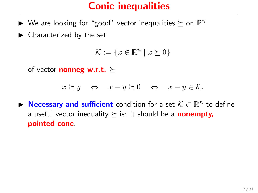- $\blacktriangleright$  We are looking for "good" vector inequalities  $\succeq$  on  $\mathbb{R}^n$
- $\blacktriangleright$  Characterized by the set

$$
\mathcal{K} := \{ x \in \mathbb{R}^n \mid x \succeq 0 \}
$$

of vector **nonneg w.r.t.**  $\succ$ 

$$
x \succeq y \quad \Leftrightarrow \quad x - y \succeq 0 \quad \Leftrightarrow \quad x - y \in \mathcal{K}.
$$

▶ Necessary and sufficient condition for a set  $K \subset \mathbb{R}^n$  to define a useful vector inequality  $\succeq$  is: it should be a **nonempty**, pointed cone.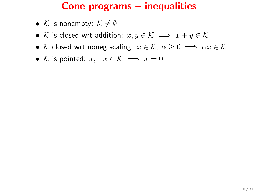#### Cone programs – inequalities

- K is nonempty:  $K \neq \emptyset$
- K is closed wrt addition:  $x, y \in K \implies x + y \in K$
- K closed wrt noneg scaling:  $x \in \mathcal{K}$ ,  $\alpha > 0 \implies \alpha x \in \mathcal{K}$
- K is pointed:  $x, -x \in \mathcal{K} \implies x = 0$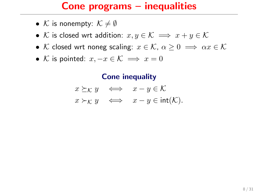#### Cone programs – inequalities

- K is nonempty:  $K \neq \emptyset$
- K is closed wrt addition:  $x, y \in K \implies x + y \in K$
- K closed wrt noneg scaling:  $x \in \mathcal{K}$ ,  $\alpha > 0 \implies \alpha x \in \mathcal{K}$
- K is pointed:  $x, -x \in \mathcal{K} \implies x = 0$

#### Cone inequality

$$
\begin{array}{rcl}\nx \succeq_{\mathcal{K}} y & \iff & x - y \in \mathcal{K} \\
x \succ_{\mathcal{K}} y & \iff & x - y \in \text{int}(\mathcal{K}).\n\end{array}
$$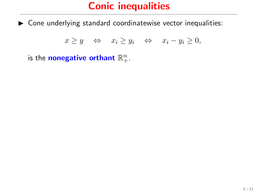$\triangleright$  Cone underlying standard coordinatewise vector inequalities:

$$
x \ge y \quad \Leftrightarrow \quad x_i \ge y_i \quad \Leftrightarrow \quad x_i - y_i \ge 0,
$$

is the nonegative orthant  $\mathbb{R}^n_+$ .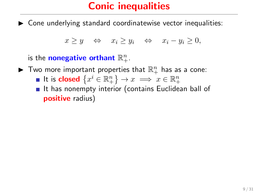$\triangleright$  Cone underlying standard coordinatewise vector inequalities:

$$
x \ge y \quad \Leftrightarrow \quad x_i \ge y_i \quad \Leftrightarrow \quad x_i - y_i \ge 0,
$$

is the nonegative orthant  $\mathbb{R}^n_+$ .

 $\blacktriangleright$  Two more important properties that  $\mathbb{R}^n_+$  has as a cone: It is closed  $\left\{x^i \in \mathbb{R}^n_+\right\} \to x \implies x \in \mathbb{R}^n_+$  $\blacksquare$  It has nonempty interior (contains Euclidean ball of

positive radius)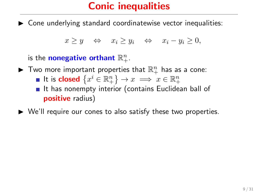$\triangleright$  Cone underlying standard coordinatewise vector inequalities:

$$
x \ge y \quad \Leftrightarrow \quad x_i \ge y_i \quad \Leftrightarrow \quad x_i - y_i \ge 0,
$$

is the nonegative orthant  $\mathbb{R}^n_+$ .

- $\blacktriangleright$  Two more important properties that  $\mathbb{R}^n_+$  has as a cone:
	- It is closed  $\left\{x^i \in \mathbb{R}^n_+\right\} \to x \implies x \in \mathbb{R}^n_+$
	- $\blacksquare$  It has nonempty interior (contains Euclidean ball of positive radius)
- $\triangleright$  We'll require our cones to also satisfy these two properties.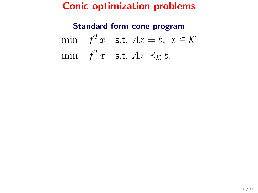#### Standard form cone program

min  $f^T x$  s.t.  $Ax = b, x \in \mathcal{K}$ min  $f^T x$  s.t.  $Ax \preceq_{\mathcal{K}} b$ .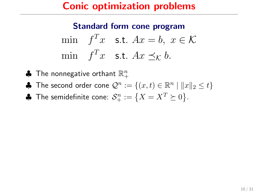$$
\begin{aligned}\n\min \quad & f^T x \quad \text{s.t. } Ax = b, \ x \in \mathcal{K} \\
\min \quad & f^T x \quad \text{s.t. } Ax \preceq_{\mathcal{K}} b.\n\end{aligned}
$$

- $\clubsuit$  The nonnegative orthant  $\mathbb{R}^n_+$
- ♣ The second order cone  $\mathcal{Q}^n := \{(x,t) \in \mathbb{R}^n \mid ||x||_2 \le t\}$
- $\clubsuit$  The semidefinite cone:  $\mathcal{S}^n_+:=\big\{X=X^T\succeq 0\big\}.$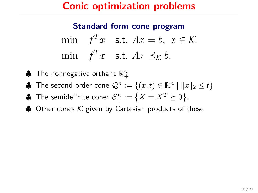$$
\min \quad f^T x \quad \text{s.t.} \quad Ax = b, \ x \in \mathcal{K}
$$
\n
$$
\min \quad f^T x \quad \text{s.t.} \ Ax \preceq_{\mathcal{K}} b.
$$

- $\clubsuit$  The nonnegative orthant  $\mathbb{R}^n_+$
- ♣ The second order cone  $\mathcal{Q}^n := \{(x,t) \in \mathbb{R}^n \mid ||x||_2 \le t\}$
- $\clubsuit$  The semidefinite cone:  $\mathcal{S}^n_+:=\big\{X=X^T\succeq 0\big\}.$
- $\triangle$  Other cones K given by Cartesian products of these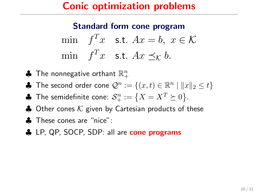$$
\min \quad f^T x \quad \text{s.t.} \quad Ax = b, \ x \in \mathcal{K}
$$
\n
$$
\min \quad f^T x \quad \text{s.t.} \ Ax \preceq_{\mathcal{K}} b.
$$

- $\clubsuit$  The nonnegative orthant  $\mathbb{R}^n_+$
- ♣ The second order cone  $\mathcal{Q}^n := \{(x,t) \in \mathbb{R}^n \mid ||x||_2 \le t\}$
- $\clubsuit$  The semidefinite cone:  $\mathcal{S}^n_+:=\big\{X=X^T\succeq 0\big\}.$
- $\triangle$  Other cones K given by Cartesian products of these
- ♣ These cones are "nice":
- ♣ LP, QP, SOCP, SDP: all are cone programs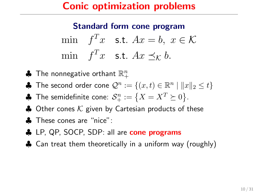$$
\min \quad f^T x \quad \text{s.t.} \quad Ax = b, \ x \in \mathcal{K}
$$
\n
$$
\min \quad f^T x \quad \text{s.t.} \ Ax \preceq_{\mathcal{K}} b.
$$

- $\clubsuit$  The nonnegative orthant  $\mathbb{R}^n_+$
- ♣ The second order cone  $\mathcal{Q}^n := \{(x,t) \in \mathbb{R}^n \mid ||x||_2 \le t\}$
- $\clubsuit$  The semidefinite cone:  $\mathcal{S}^n_+:=\big\{X=X^T\succeq 0\big\}.$
- $\triangle$  Other cones K given by Cartesian products of these
- ♣ These cones are "nice":
- ♣ LP, QP, SOCP, SDP: all are cone programs
- ♣ Can treat them theoretically in a uniform way (roughly)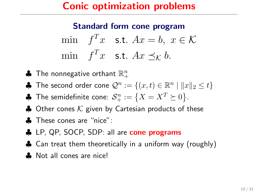$$
\min \quad f^T x \quad \text{s.t.} \quad Ax = b, \ x \in \mathcal{K}
$$
\n
$$
\min \quad f^T x \quad \text{s.t.} \ Ax \preceq_{\mathcal{K}} b.
$$

- $\clubsuit$  The nonnegative orthant  $\mathbb{R}^n_+$
- ♣ The second order cone  $\mathcal{Q}^n := \{(x,t) \in \mathbb{R}^n \mid ||x||_2 \le t\}$
- $\clubsuit$  The semidefinite cone:  $\mathcal{S}^n_+:=\big\{X=X^T\succeq 0\big\}.$
- $\triangle$  Other cones K given by Cartesian products of these
- ♣ These cones are "nice":
- ♣ LP, QP, SOCP, SDP: all are cone programs
- ♣ Can treat them theoretically in a uniform way (roughly)
- Not all cones are nice!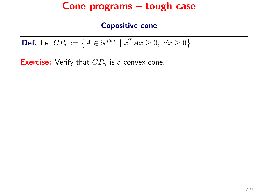**Def.** Let 
$$
CP_n := \{ A \in \mathbb{S}^{n \times n} \mid x^T A x \ge 0, \ \forall x \ge 0 \}.
$$

**Exercise:** Verify that  $CP_n$  is a convex cone.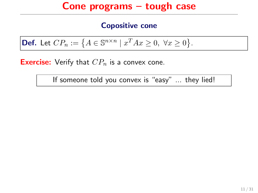**Def.** Let  $CP_n := \{ A \in \mathbb{S}^{n \times n} \mid x^T A x \ge 0, \ \forall x \ge 0 \}.$ 

**Exercise:** Verify that  $CP_n$  is a convex cone.

If someone told you convex is "easy" ... they lied!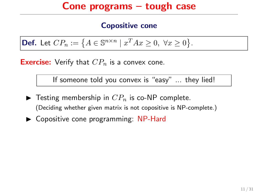**Def.** Let  $CP_n := \{ A \in \mathbb{S}^{n \times n} \mid x^T A x \ge 0, \ \forall x \ge 0 \}.$ 

**Exercise:** Verify that  $CP<sub>n</sub>$  is a convex cone.

If someone told you convex is "easy" ... they lied!

- $\blacktriangleright$  Testing membership in  $CP_n$  is co-NP complete. (Deciding whether given matrix is not copositive is NP-complete.)
- $\triangleright$  Copositive cone programming: NP-Hard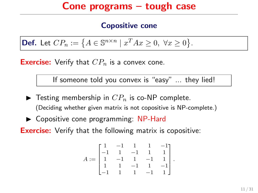**Def.** Let  $CP_n := \{ A \in \mathbb{S}^{n \times n} \mid x^T A x \ge 0, \ \forall x \ge 0 \}.$ 

**Exercise:** Verify that  $CP<sub>n</sub>$  is a convex cone.

If someone told you convex is "easy" ... they lied!

- $\blacktriangleright$  Testing membership in  $CP_n$  is co-NP complete. (Deciding whether given matrix is not copositive is NP-complete.)
- $\triangleright$  Copositive cone programming: NP-Hard

**Exercise:** Verify that the following matrix is copositive:

$$
A:=\begin{bmatrix}1&-1&1&1&-1\\-1&1&-1&1&1\\1&-1&1&-1&1\\1&1&-1&1&-1\\-1&1&1&-1&1\end{bmatrix}.
$$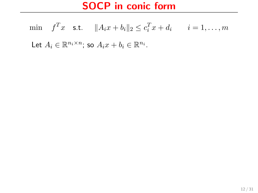#### SOCP in conic form

min  $f^T x$  s.t.  $||A_i x + b_i||_2 \le c_i^T x + d_i$   $i = 1, ..., m$ Let  $A_i \in \mathbb{R}^{n_i \times n}$ ; so  $A_i x + b_i \in \mathbb{R}^{n_i}$ .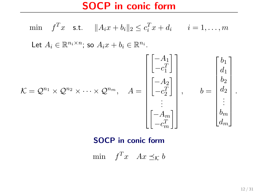SOCP in conic form

$$
\begin{aligned}\n\min \quad f^T x \quad \text{s.t.} \quad & \|A_i x + b_i\|_2 \le c_i^T x + d_i \qquad i = 1, \dots, m \\
\text{Let } A_i \in \mathbb{R}^{n_i \times n}; \text{ so } A_i x + b_i \in \mathbb{R}^{n_i} \\
\text{Let } A_i \in \mathbb{R}^{n_i \times n}; \text{ so } A_i x + b_i \in \mathbb{R}^{n_i} \\
\left[\begin{bmatrix} -A_1 \\ -c_1^T \end{bmatrix} \\ \begin{bmatrix} -A_2 \\ -c_2^T \end{bmatrix} \\ \vdots \\ \begin{bmatrix} -A_2 \\ -c_2^T \end{bmatrix} \\ \vdots \\ \begin{bmatrix} -A_m \\ \vdots \\ -c_m^T \end{bmatrix}\right], \qquad b = \begin{bmatrix} b_1 \\ d_1 \\ b_2 \\ \vdots \\ b_m \\ d_m \end{bmatrix}.\n\end{aligned}
$$

#### SOCP in conic form

min  $f^T x$   $Ax \preceq_{\mathcal{K}} b$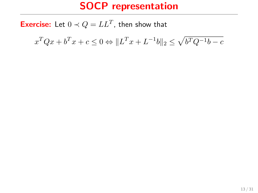## SOCP representation

**Exercise:** Let  $0 \prec Q = LL^T$ , then show that

 $x^T Q x + b^T x + c \leq 0 \Leftrightarrow \|L^T x + L^{-1} b\|_2 \leq \sqrt{b^T Q^{-1} b - c}$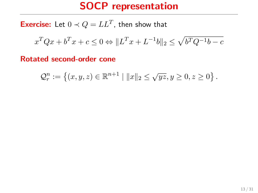## SOCP representation

**Exercise:** Let  $0 \prec Q = LL^T$ , then show that

$$
x^TQx+b^Tx+c\leq 0 \Leftrightarrow \|L^Tx+L^{-1}b\|_2\leq \sqrt{b^TQ^{-1}b-c}
$$

Rotated second-order cone

$$
\mathcal{Q}_r^n := \left\{ (x, y, z) \in \mathbb{R}^{n+1} \mid ||x||_2 \leq \sqrt{yz}, y \geq 0, z \geq 0 \right\}.
$$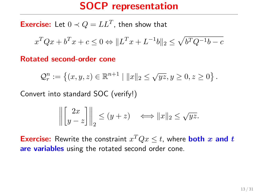## SOCP representation

**Exercise:** Let  $0 \prec Q = LL^T$ , then show that

$$
x^TQx+b^Tx+c\leq 0 \Leftrightarrow \|L^Tx+L^{-1}b\|_2\leq \sqrt{b^TQ^{-1}b-c}
$$

Rotated second-order cone

$$
\mathcal{Q}_r^n := \left\{ (x, y, z) \in \mathbb{R}^{n+1} \mid ||x||_2 \leq \sqrt{yz}, y \geq 0, z \geq 0 \right\}.
$$

Convert into standard SOC (verify!)

$$
\left\| \begin{bmatrix} 2x \\ y-z \end{bmatrix} \right\|_2 \le (y+z) \quad \Longleftrightarrow \|x\|_2 \le \sqrt{yz}.
$$

**Exercise:** Rewrite the constraint  $x^T Q x \leq t$ , where **both** x and t are variables using the rotated second order cone.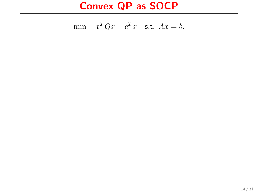## Convex QP as SOCP

$$
\min \quad x^T Q x + c^T x \quad \text{s.t. } Ax = b.
$$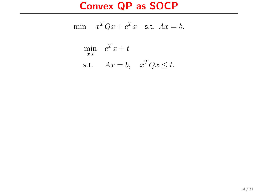# Convex QP as SOCP

$$
\begin{aligned}\n\min \quad & x^T Q x + c^T x \quad \text{s.t. } Ax = b. \\
\min \quad & c^T x + t \\
\text{s.t.} \quad & Ax = b, \quad x^T Q x \le t.\n\end{aligned}
$$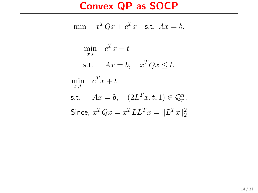## Convex QP as SOCP

$$
\begin{aligned}\n\min \quad & x^T Q x + c^T x \quad \text{s.t. } Ax = b. \\
\min \quad & c^T x + t \\
\text{s.t.} \quad & Ax = b, \quad x^T Q x \le t. \\
\min \quad & c^T x + t \\
\text{s.t.} \quad & Ax = b, \quad (2L^T x, t, 1) \in \mathcal{Q}_r^n. \\
\text{Since, } & x^T Q x = x^T L L^T x = \|L^T x\|_2^2\n\end{aligned}
$$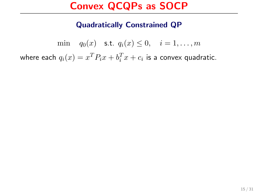### Quadratically Constrained QP

min  $q_0(x)$  s.t.  $q_i(x) \leq 0, \quad i = 1, ..., m$ where each  $q_i(x) = x^T P_i x + b_i^T x + c_i$  is a convex quadratic.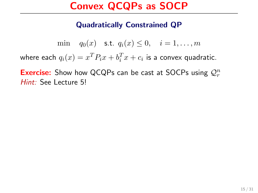#### Quadratically Constrained QP

min  $q_0(x)$  s.t.  $q_i(x) \leq 0$ ,  $i = 1, ..., m$ 

where each  $q_i(x) = x^T P_i x + b_i^T x + c_i$  is a convex quadratic.

**Exercise:** Show how QCQPs can be cast at SOCPs using  $Q_r^n$ Hint: See Lecture 5!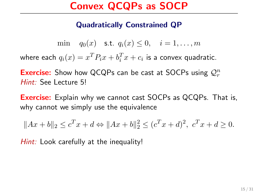#### Quadratically Constrained QP

min  $q_0(x)$  s.t.  $q_i(x) \leq 0$ ,  $i = 1, ..., m$ 

where each  $q_i(x) = x^T P_i x + b_i^T x + c_i$  is a convex quadratic.

**Exercise:** Show how QCQPs can be cast at SOCPs using  $Q_r^n$ Hint: See Lecture 5!

**Exercise:** Explain why we cannot cast SOCPs as QCQPs. That is, why cannot we simply use the equivalence

$$
||Ax + b||_2 \le c^T x + d \Leftrightarrow ||Ax + b||_2^2 \le (c^T x + d)^2, \ c^T x + d \ge 0.
$$

Hint: Look carefully at the inequality!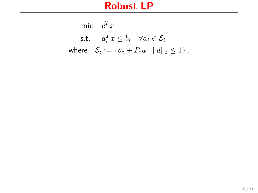$$
\begin{aligned}\n\min \quad & c^T x \\
\text{s.t.} \quad & a_i^T x \le b_i \quad \forall a_i \in \mathcal{E}_i \\
\text{where} \quad & \mathcal{E}_i := \{ \bar{a}_i + P_i u \mid \|u\|_2 \le 1 \} \,. \n\end{aligned}
$$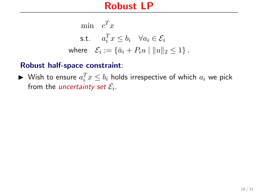$$
\begin{aligned}\n\min \quad & c^T x \\
\text{s.t.} \quad & a_i^T x \le b_i \quad \forall a_i \in \mathcal{E}_i \\
\text{where} \quad & \mathcal{E}_i := \{ \bar{a}_i + P_i u \mid \|u\|_2 \le 1 \} \,. \n\end{aligned}
$$

### Robust half-space constraint:

 $\blacktriangleright$  Wish to ensure  $a_i^T x \leq b_i$  holds irrespective of which  $a_i$  we pick from the *uncertainty set*  $\mathcal{E}_i$ .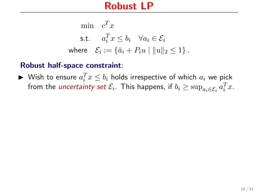$$
\begin{aligned}\n\min \quad & c^T x \\
\text{s.t.} \quad & a_i^T x \le b_i \quad \forall a_i \in \mathcal{E}_i \\
\text{where} \quad & \mathcal{E}_i := \{ \bar{a}_i + P_i u \mid \|u\|_2 \le 1 \} \,. \n\end{aligned}
$$

#### Robust half-space constraint:

▶ Wish to ensure  $a_i^T x \leq b_i$  holds irrespective of which  $a_i$  we pick from the *uncertainty set*  $\mathcal{E}_i$ . This happens, if  $b_i \geq \sup_{a_i \in \mathcal{E}_i} a_i^T x.$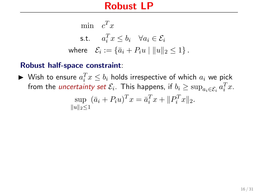$$
\begin{aligned}\n\min \quad & c^T x \\
\text{s.t.} \quad & a_i^T x \le b_i \quad \forall a_i \in \mathcal{E}_i \\
\text{where} \quad & \mathcal{E}_i := \{ \bar{a}_i + P_i u \mid \|u\|_2 \le 1 \} \,. \n\end{aligned}
$$

#### Robust half-space constraint:

▶ Wish to ensure  $a_i^T x \leq b_i$  holds irrespective of which  $a_i$  we pick from the *uncertainty set*  $\mathcal{E}_i$ . This happens, if  $b_i \geq \sup_{a_i \in \mathcal{E}_i} a_i^T x.$ 

$$
\sup_{\|u\|_2 \le 1} (\bar{a}_i + P_i u)^T x = \bar{a}_i^T x + \|P_i^T x\|_2.
$$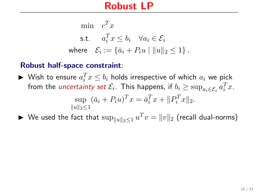$$
\begin{aligned}\n\min \quad & c^T x \\
\text{s.t.} \quad & a_i^T x \le b_i \quad \forall a_i \in \mathcal{E}_i \\
\text{where} \quad & \mathcal{E}_i := \{ \bar{a}_i + P_i u \mid \|u\|_2 \le 1 \} \,. \n\end{aligned}
$$

### Robust half-space constraint:

▶ Wish to ensure  $a_i^T x \leq b_i$  holds irrespective of which  $a_i$  we pick from the *uncertainty set*  $\mathcal{E}_i$ . This happens, if  $b_i \geq \sup_{a_i \in \mathcal{E}_i} a_i^T x.$ 

$$
\sup_{\|u\|_2 \le 1} (\bar{a}_i + P_i u)^T x = \bar{a}_i^T x + \|P_i^T x\|_2.
$$

▶ We used the fact that  $\sup_{\|u\|_2\le1} u^Tv=\|v\|_2$  (recall dual-norms)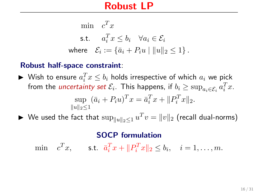$$
\begin{aligned}\n\min \quad & c^T x \\
\text{s.t.} \quad & a_i^T x \le b_i \quad \forall a_i \in \mathcal{E}_i \\
\text{where} \quad & \mathcal{E}_i := \{ \bar{a}_i + P_i u \mid \|u\|_2 \le 1 \} \,. \n\end{aligned}
$$

### Robust half-space constraint:

▶ Wish to ensure  $a_i^T x \leq b_i$  holds irrespective of which  $a_i$  we pick from the *uncertainty set*  $\mathcal{E}_i$ . This happens, if  $b_i \geq \sup_{a_i \in \mathcal{E}_i} a_i^T x.$ 

$$
\sup_{\|u\|_2 \le 1} (\bar{a}_i + P_i u)^T x = \bar{a}_i^T x + \|P_i^T x\|_2.
$$

▶ We used the fact that  $\sup_{\|u\|_2\le1} u^Tv=\|v\|_2$  (recall dual-norms)

#### SOCP formulation

min  $c^T x$ , s.t.  $\bar{a}_i^T x + ||P_i^T x||_2 \le b_i$ ,  $i = 1, ..., m$ .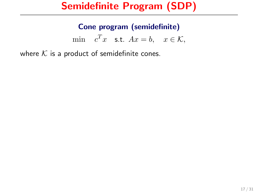### Cone program (semidefinite)

min  $c^T x$  s.t.  $Ax = b$ ,  $x \in \mathcal{K}$ ,

where  $K$  is a product of semidefinite cones.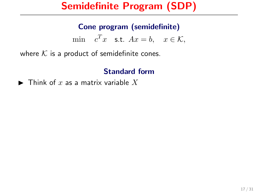### Cone program (semidefinite)

min  $c^T x$  s.t.  $Ax = b$ ,  $x \in \mathcal{K}$ ,

where  $K$  is a product of semidefinite cones.

### Standard form

 $\blacktriangleright$  Think of x as a matrix variable X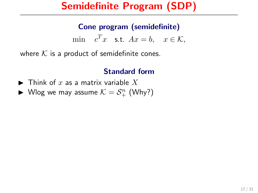### Cone program (semidefinite)

min  $c^T x$  s.t.  $Ax = b$ ,  $x \in \mathcal{K}$ ,

where  $K$  is a product of semidefinite cones.

- $\blacktriangleright$  Think of  $x$  as a matrix variable  $X$
- $\blacktriangleright$  Wlog we may assume  $\mathcal{K} = \mathcal{S}_{+}^{n}$  (Why?)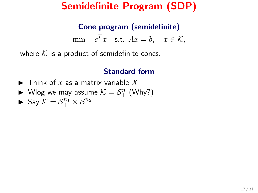#### Cone program (semidefinite)

min  $c^T x$  s.t.  $Ax = b$ ,  $x \in \mathcal{K}$ ,

where  $K$  is a product of semidefinite cones.

- $\blacktriangleright$  Think of x as a matrix variable X
- $\blacktriangleright$  Wlog we may assume  $\mathcal{K} = \mathcal{S}_{+}^{n}$  (Why?)
- $\blacktriangleright$  Say  $K = S_+^{n_1} \times S_+^{n_2}$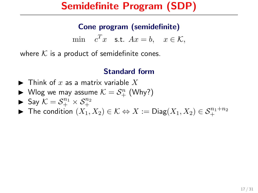### Cone program (semidefinite)

min  $c^T x$  s.t.  $Ax = b$ ,  $x \in \mathcal{K}$ ,

where  $K$  is a product of semidefinite cones.

- $\blacktriangleright$  Think of x as a matrix variable X
- $\blacktriangleright$  Wlog we may assume  $\mathcal{K} = \mathcal{S}_{+}^{n}$  (Why?)
- $\blacktriangleright$  Say  $K = S_+^{n_1} \times S_+^{n_2}$
- ▶ The condition  $(X_1, X_2) \in \mathcal{K} \Leftrightarrow X := \mathsf{Diag}(X_1, X_2) \in \mathcal{S}_+^{n_1+n_2}$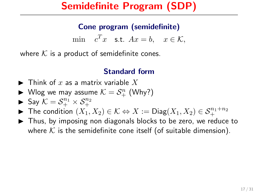### Cone program (semidefinite)

min  $c^T x$  s.t.  $Ax = b$ ,  $x \in \mathcal{K}$ ,

where  $K$  is a product of semidefinite cones.

- $\blacktriangleright$  Think of x as a matrix variable X
- $\blacktriangleright$  Wlog we may assume  $\mathcal{K} = \mathcal{S}_{+}^{n}$  (Why?)
- $\blacktriangleright$  Say  $K = S_+^{n_1} \times S_+^{n_2}$
- ▶ The condition  $(X_1, X_2) \in \mathcal{K} \Leftrightarrow X := \mathsf{Diag}(X_1, X_2) \in \mathcal{S}_+^{n_1+n_2}$
- $\triangleright$  Thus, by imposing non diagonals blocks to be zero, we reduce to where  $K$  is the semidefinite cone itself (of suitable dimension).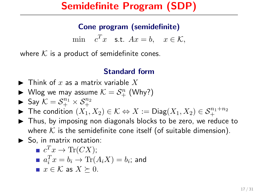### Cone program (semidefinite)

min  $c^T x$  s.t.  $Ax = b$ ,  $x \in \mathcal{K}$ ,

where  $K$  is a product of semidefinite cones.

## Standard form

- $\blacktriangleright$  Think of x as a matrix variable X
- $\blacktriangleright$  Wlog we may assume  $\mathcal{K} = \mathcal{S}_{+}^{n}$  (Why?)
- $\blacktriangleright$  Say  $K = S_+^{n_1} \times S_+^{n_2}$
- ▶ The condition  $(X_1, X_2) \in \mathcal{K} \Leftrightarrow X := \mathsf{Diag}(X_1, X_2) \in \mathcal{S}_+^{n_1+n_2}$
- $\triangleright$  Thus, by imposing non diagonals blocks to be zero, we reduce to where  $K$  is the semidefinite cone itself (of suitable dimension).
- $\blacktriangleright$  So, in matrix notation:

$$
e^T x \to \text{Tr}(CX);
$$

$$
a_i^T x = b_i \to \text{Tr}(A_i X) = b_i; \text{ and}
$$

■  $x \in \mathcal{K}$  as  $X \succeq 0$ .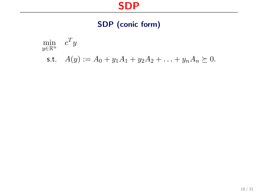## SDP

## SDP (conic form)

$$
\min_{y \in \mathbb{R}^n} c^T y
$$
  
s.t.  $A(y) := A_0 + y_1 A_1 + y_2 A_2 + \ldots + y_n A_n \succeq 0.$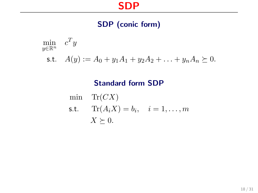## SDP

## SDP (conic form)

$$
\min_{y \in \mathbb{R}^n} c^T y
$$
  
s.t.  $A(y) := A_0 + y_1 A_1 + y_2 A_2 + \ldots + y_n A_n \succeq 0.$ 

### Standard form SDP

min Tr(CX)  
\n**s.t.** Tr(A<sub>i</sub>X) = b<sub>i</sub>, 
$$
i = 1,..., m
$$
  
\n $X \succeq 0$ .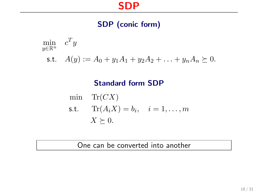## SDP

## SDP (conic form)

$$
\min_{y \in \mathbb{R}^n} c^T y
$$
  
s.t.  $A(y) := A_0 + y_1 A_1 + y_2 A_2 + \ldots + y_n A_n \succeq 0.$ 

### Standard form SDP

 $\min$  Tr( $CX$ ) s.t.  $\text{Tr}(A_i X) = b_i, \quad i = 1, \ldots, m$  $X \succeq 0.$ 

#### One can be converted into another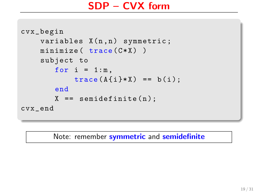```
cvx_begin
    variables X(n, n) symmetric;
    minimize (trace ( C*X ) )subject to
       for i = 1:m,
            trace(A{i} * X) == b(i);
       end
       X = semidefinite (n);
cvx_end
```
Note: remember symmetric and semidefinite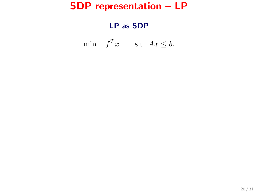## SDP representation – LP

### LP as SDP

min  $f^T x$  s.t.  $Ax \leq b$ .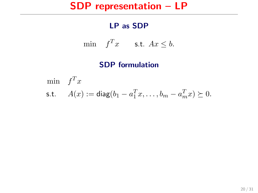## SDP representation – LP

### LP as SDP

$$
\min \quad f^T x \qquad \text{s.t. } Ax \leq b.
$$

### SDP formulation

$$
\begin{aligned}\n\min \quad & f^T x \\
\text{s.t.} \quad & A(x) := \text{diag}(b_1 - a_1^T x, \dots, b_m - a_m^T x) \succeq 0.\n\end{aligned}
$$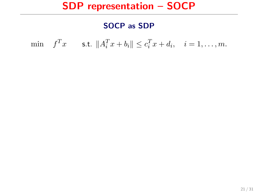## SDP representation – SOCP

### SOCP as SDP

min  $f^T x$  s.t.  $||A_i^T x + b_i|| \le c_i^T x + d_i$ ,  $i = 1, ..., m$ .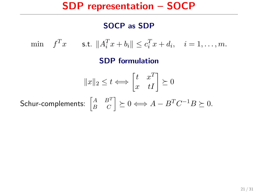## SDP representation – SOCP

### SOCP as SDP

min  $f^T x$  s.t.  $||A_i^T x + b_i|| \le c_i^T x + d_i$ ,  $i = 1, ..., m$ .

SDP formulation

$$
||x||_2 \le t \Longleftrightarrow \begin{bmatrix} t & x^T \\ x & tI \end{bmatrix} \succeq 0
$$
  
Schur-complements: 
$$
\begin{bmatrix} A & B^T \\ B & C \end{bmatrix} \succeq 0 \Longleftrightarrow A - B^T C^{-1} B \succeq 0.
$$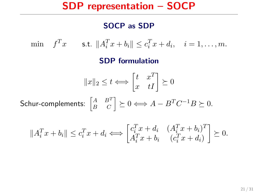## SDP representation – SOCP

#### SOCP as SDP

min  $f^T x$  s.t.  $||A_i^T x + b_i|| \le c_i^T x + d_i$ ,  $i = 1, ..., m$ .

#### SDP formulation

$$
||x||_2 \le t \Longleftrightarrow \begin{bmatrix} t & x^T \\ x & tI \end{bmatrix} \succeq 0
$$

Schur-complements:  $\begin{bmatrix} A & B^T \ B & C \end{bmatrix} \succeq 0 \Longleftrightarrow A - B^T C^{-1} B \succeq 0.$ 

$$
||A_i^T x + b_i|| \le c_i^T x + d_i \Longleftrightarrow \begin{bmatrix} c_i^T x + d_i & (A_i^T x + b_i)^T \\ A_i^T x + b_i & (c_i^T x + d_i) \end{bmatrix} \succeq 0.
$$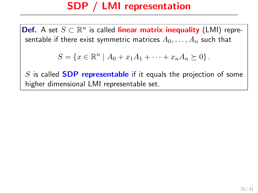Def. A set  $S \subset \mathbb{R}^n$  is called linear matrix inequality (LMI) representable if there exist symmetric matrices  $A_0, \ldots, A_n$  such that

$$
S = \{x \in \mathbb{R}^n \mid A_0 + x_1 A_1 + \dots + x_n A_n \succeq 0\}.
$$

 $S$  is called **SDP representable** if it equals the projection of some higher dimensional LMI representable set.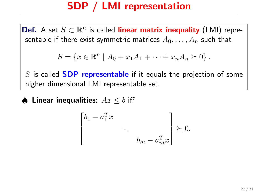Def. A set  $S \subset \mathbb{R}^n$  is called linear matrix inequality (LMI) representable if there exist symmetric matrices  $A_0, \ldots, A_n$  such that

$$
S = \{x \in \mathbb{R}^n \mid A_0 + x_1 A_1 + \dots + x_n A_n \succeq 0\}.
$$

 $S$  is called **SDP** representable if it equals the projection of some higher dimensional LMI representable set.

**♦ Linear inequalities:**  $Ax \leq b$  iff

$$
\begin{bmatrix} b_1 - a_1^T x & & \\ & \ddots & \\ & & b_m - a_m^T x \end{bmatrix} \succeq 0.
$$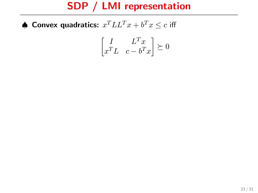$\spadesuit$  Convex quadratics:  $x^TLL^Tx + b^Tx \leq c$  iff

$$
\begin{bmatrix} I & L^T x \\ x^T L & c - b^T x \end{bmatrix} \succeq 0
$$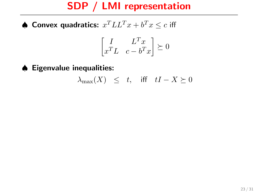$\spadesuit$  Convex quadratics:  $x^TLL^Tx + b^Tx \leq c$  iff

$$
\begin{bmatrix} I & L^T x \\ x^T L & c-b^T x \end{bmatrix} \succeq 0
$$

♠ Eigenvalue inequalities:

$$
\lambda_{\max}(X) \leq t, \quad \text{iff} \quad tI - X \succeq 0
$$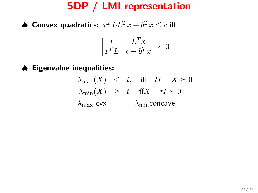$\spadesuit$  Convex quadratics:  $x^TLL^Tx + b^Tx \leq c$  iff

$$
\begin{bmatrix} I & L^T x \\ x^T L & c - b^T x \end{bmatrix} \succeq 0
$$

### ♠ Eigenvalue inequalities:

 $\lambda_{\max}(X) \leq t$ , iff  $tI - X \succeq 0$  $\lambda_{\min}(X) \geq t$  iff $X - tI \succeq 0$  $\lambda_{\text{max}}$  cvx  $\lambda_{\text{min}}$  concave.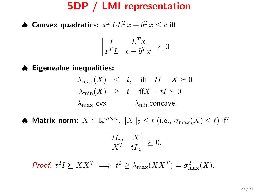$\spadesuit$  Convex quadratics:  $x^TLL^Tx + b^Tx \leq c$  iff

$$
\begin{bmatrix} I & L^T x \\ x^T L & c - b^T x \end{bmatrix} \succeq 0
$$

### ♠ Eigenvalue inequalities:

- $\lambda_{\max}(X) \leq t$ , iff  $tI X \succeq 0$  $\lambda_{\min}(X) \geq t$  iff $X - tI \succeq 0$  $\lambda_{\text{max}}$  cvx  $\lambda_{\text{min}}$ concave.
- ♦ Matrix norm:  $X \in \mathbb{R}^{m \times n}$ ,  $\|X\|_2 \leq t$  (i.e.,  $\sigma_{\max}(X) \leq t$ ) iff

$$
\begin{bmatrix} tI_m & X \\ X^T & tI_n \end{bmatrix} \succeq 0.
$$

Proof.  $t^2I \succeq XX^T \implies t^2 \geq \lambda_{\max}(XX^T) = \sigma_{\max}^2(X).$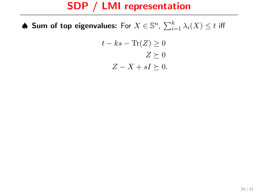$\spadesuit$  Sum of top eigenvalues: For  $X\in\mathbb{S}^n$ ,  $\sum_{i=1}^k\lambda_i(X)\leq t$  iff

$$
t - ks - \text{Tr}(Z) \ge 0
$$

$$
Z \succeq 0
$$

$$
Z - X + sI \succeq 0.
$$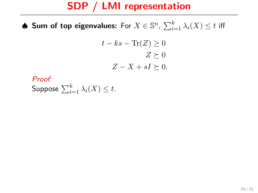$\spadesuit$  Sum of top eigenvalues: For  $X\in\mathbb{S}^n$ ,  $\sum_{i=1}^k\lambda_i(X)\leq t$  iff

$$
t - ks - \text{Tr}(Z) \ge 0
$$

$$
Z \succeq 0
$$

$$
Z - X + sI \succeq 0.
$$

Proof: Suppose  $\sum_{i=1}^k \lambda_i(X) \leq t.$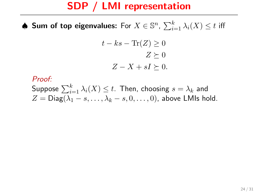$\spadesuit$  Sum of top eigenvalues: For  $X\in\mathbb{S}^n$ ,  $\sum_{i=1}^k\lambda_i(X)\leq t$  iff

$$
t - ks - \text{Tr}(Z) \ge 0
$$

$$
Z \succeq 0
$$

$$
Z - X + sI \succeq 0.
$$

#### Proof:

Suppose  $\sum_{i=1}^k \lambda_i(X) \leq t.$  Then, choosing  $s=\lambda_k$  and  $Z = \text{Diag}(\lambda_1 - s, \ldots, \lambda_k - s, 0, \ldots, 0)$ , above LMIs hold.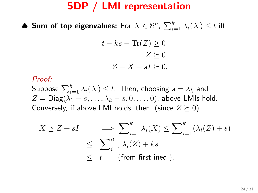$\spadesuit$  Sum of top eigenvalues: For  $X\in\mathbb{S}^n$ ,  $\sum_{i=1}^k\lambda_i(X)\leq t$  iff

$$
t - ks - \text{Tr}(Z) \ge 0
$$

$$
Z \succeq 0
$$

$$
Z - X + sI \succeq 0.
$$

#### Proof:

Suppose  $\sum_{i=1}^k \lambda_i(X) \leq t.$  Then, choosing  $s=\lambda_k$  and  $Z = \text{Diag}(\lambda_1 - s, \ldots, \lambda_k - s, 0, \ldots, 0)$ , above LMIs hold. Conversely, if above LMI holds, then, (since  $Z \succeq 0$ )

$$
X \preceq Z + sI \qquad \Longrightarrow \sum_{i=1}^{k} \lambda_i(X) \le \sum_{i=1}^{k} (\lambda_i(Z) + s)
$$
  

$$
\le \sum_{i=1}^{n} \lambda_i(Z) + ks
$$
  

$$
\le t \qquad \text{(from first ineq.)}.
$$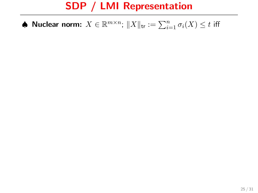• Nuclear norm: 
$$
X \in \mathbb{R}^{m \times n}
$$
;  $||X||_{\text{tr}} := \sum_{i=1}^{n} \sigma_i(X) \le t$  iff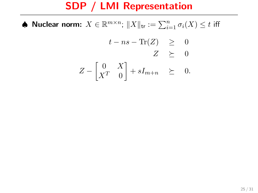♦ Nuclear norm:  $X \in \mathbb{R}^{m \times n}$ ;  $\|X\|_{\mathsf{tr}} := \sum_{i=1}^n \sigma_i(X) \leq t$  iff

$$
t - ns - \text{Tr}(Z) \geq 0
$$
  

$$
Z \geq 0
$$
  

$$
\begin{bmatrix} 0 & y \end{bmatrix}
$$

$$
Z - \begin{bmatrix} 0 & X \\ X^T & 0 \end{bmatrix} + sI_{m+n} \geq 0.
$$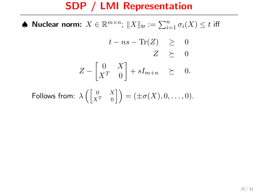♦ Nuclear norm:  $X \in \mathbb{R}^{m \times n}$ ;  $\|X\|_{\mathsf{tr}} := \sum_{i=1}^n \sigma_i(X) \leq t$  iff

$$
t - ns - \text{Tr}(Z) \geq 0
$$
  

$$
Z \geq 0
$$
  

$$
Z - \begin{bmatrix} 0 & X \\ X^T & 0 \end{bmatrix} + sI_{m+n} \geq 0.
$$

Follows from:  $\lambda\left( \begin{bmatrix} 0 & X \ X^T & 0 \end{bmatrix} \right) = (\pm \sigma(X), 0, \ldots, 0).$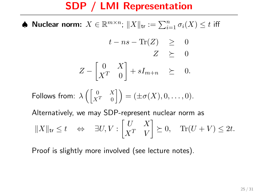♦ Nuclear norm:  $X \in \mathbb{R}^{m \times n}$ ;  $\|X\|_{\mathsf{tr}} := \sum_{i=1}^n \sigma_i(X) \leq t$  iff

$$
t - ns - \text{Tr}(Z) \geq 0
$$
  

$$
Z \geq 0
$$
  

$$
Z - \begin{bmatrix} 0 & X \\ X^T & 0 \end{bmatrix} + sI_{m+n} \geq 0.
$$

$$
\text{Follows from: } \lambda \left( \begin{bmatrix} 0 & X \\ X^T & 0 \end{bmatrix} \right) = (\pm \sigma(X), 0, \dots, 0).
$$

Alternatively, we may SDP-represent nuclear norm as

$$
||X||_{\text{tr}} \leq t \quad \Leftrightarrow \quad \exists U, V : \begin{bmatrix} U & X \\ X^T & V \end{bmatrix} \succeq 0, \quad \text{Tr}(U + V) \leq 2t.
$$

Proof is slightly more involved (see lecture notes).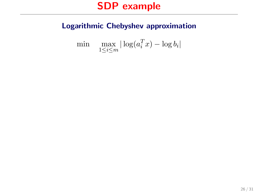### Logarithmic Chebyshev approximation

$$
\min \quad \max_{1 \le i \le m} |\log(a_i^T x) - \log b_i|
$$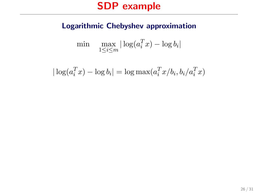### Logarithmic Chebyshev approximation

$$
\min \quad \max_{1 \le i \le m} |\log(a_i^T x) - \log b_i|
$$

$$
|\log(a_i^T x) - \log b_i| = \log \max(a_i^T x/b_i, b_i/a_i^T x)
$$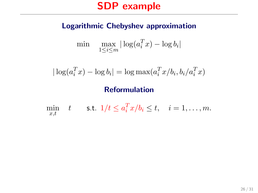#### Logarithmic Chebyshev approximation

$$
\min \quad \max_{1 \le i \le m} |\log(a_i^T x) - \log b_i|
$$

$$
|\log(a_i^T x) - \log b_i| = \log \max(a_i^T x/b_i, b_i/a_i^T x)
$$

#### Reformulation

 $\min_{x \in \mathcal{X}} \quad t \qquad \text{s.t.} \quad 1/t \leq a_i^T x/b_i \leq t, \quad i = 1, \ldots, m.$  $x,t$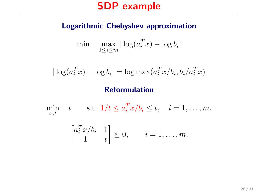#### Logarithmic Chebyshev approximation

$$
\min \quad \max_{1 \le i \le m} |\log(a_i^T x) - \log b_i|
$$

$$
|\log(a_i^T x) - \log b_i| = \log \max(a_i^T x/b_i, b_i/a_i^T x)
$$

#### Reformulation

 $\min_{x \in \mathcal{X}} \quad t \qquad \text{s.t.} \quad 1/t \leq a_i^T x/b_i \leq t, \quad i = 1, \ldots, m.$  $x,t$ 

$$
\begin{bmatrix} a_i^T x/b_i & 1 \\ 1 & t \end{bmatrix} \succeq 0, \qquad i = 1, \dots, m.
$$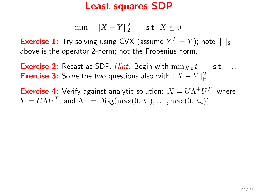### Least-squares SDP

min 
$$
||X - Y||_2^2
$$
 s.t.  $X \succeq 0$ .

**Exercise 1:** Try solving using CVX (assume  $Y^T = Y$ ); note  $\|\cdot\|_2$ above is the operator 2-norm; not the Frobenius norm.

**Exercise 2:** Recast as SDP. *Hint:* Begin with  $\min_{x,t} t$  s.t. ... **Exercise 3:** Solve the two questions also with  $||X - Y||_F^2$ 

**Exercise 4:** Verify against analytic solution:  $X = U\Lambda^+ U^T$ , where  $Y = U \Lambda U^T$ , and  $\Lambda^+ = {\sf Diag}(\max(0,\lambda_1),\ldots,\max(0,\lambda_n)).$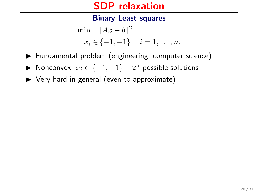#### Binary Least-squares

$$
\min \quad \|Ax - b\|^2 \\
 x_i \in \{-1, +1\} \quad i = 1, \dots, n.
$$

- ▶ Fundamental problem (engineering, computer science)
- ▶ Nonconvex;  $x_i \in \{-1, +1\} 2^n$  possible solutions
- $\triangleright$  Very hard in general (even to approximate)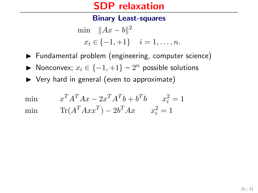#### Binary Least-squares

$$
\min_{x_i} \|Ax - b\|^2
$$
  

$$
x_i \in \{-1, +1\} \quad i = 1, \dots, n.
$$

- $\blacktriangleright$  Fundamental problem (engineering, computer science)
- ▶ Nonconvex;  $x_i \in \{-1, +1\} 2^n$  possible solutions
- $\triangleright$  Very hard in general (even to approximate)

mi

$$
n \t xT AT A x - 2xT AT b + bT b \t xi2 = 1
$$

min  $\text{Tr}(A^T A x x^T) - 2b^T A x \qquad x_i^2 = 1$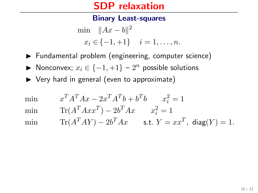#### Binary Least-squares

$$
\min_{x_i} \|Ax - b\|^2
$$
  

$$
x_i \in \{-1, +1\} \quad i = 1, \dots, n.
$$

- $\blacktriangleright$  Fundamental problem (engineering, computer science)
- ▶ Nonconvex;  $x_i \in \{-1, +1\} 2^n$  possible solutions
- $\triangleright$  Very hard in general (even to approximate)

min  $T_A T_A x - 2x^T A^T b + b^T b$   $x_i^2 = 1$ 

min  $\text{Tr}(A^T A x x^T) - 2b^T A x \qquad x_i^2 = 1$ 

min  $\text{Tr}(A^TAY) - 2b^TAx$  s.t.  $Y = xx^T$ , diag $(Y) = 1$ .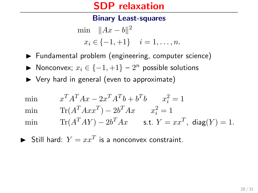#### Binary Least-squares

$$
\min_{x_i} \|Ax - b\|^2
$$
  

$$
x_i \in \{-1, +1\} \quad i = 1, \dots, n.
$$

- $\blacktriangleright$  Fundamental problem (engineering, computer science)
- ▶ Nonconvex;  $x_i \in \{-1, +1\} 2^n$  possible solutions
- $\triangleright$  Very hard in general (even to approximate)

min  $T_A T_A x - 2x^T A^T b + b^T b$   $x_i^2 = 1$ 

min  $\text{Tr}(A^T A x x^T) - 2b^T A x \qquad x_i^2 = 1$ 

min  $\text{Tr}(A^TAY) - 2b^TAx$  s.t.  $Y = xx^T$ , diag $(Y) = 1$ .

 $\blacktriangleright$  Still hard:  $Y = xx^T$  is a nonconvex constraint.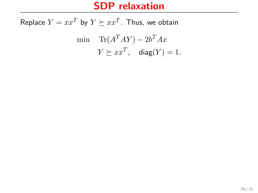Replace  $Y = xx^T$  by  $Y \succeq xx^T$ . Thus, we obtain  $\min \quad \text{Tr}(A^TAY) - 2b^TAx$  $Y \succeq xx^T$ , diag $(Y) = 1$ .

29 / 31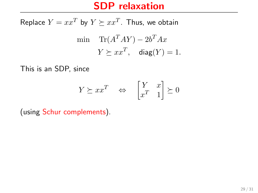Replace  $Y = xx^T$  by  $Y \succeq xx^T$ . Thus, we obtain  $\min \quad \text{Tr}(A^TAY) - 2b^TAx$  $Y \succeq xx^T$ , diag $(Y) = 1$ .

This is an SDP, since

$$
Y \succeq xx^T \quad \Leftrightarrow \quad \begin{bmatrix} Y & x \\ x^T & 1 \end{bmatrix} \succeq 0
$$

(using Schur complements).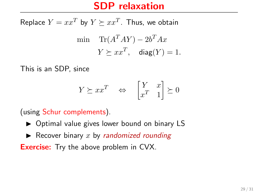Replace  $Y = xx^T$  by  $Y \succeq xx^T$ . Thus, we obtain  $\min \quad \text{Tr}(A^TAY) - 2b^TAx$  $Y \succeq xx^T$ , diag $(Y) = 1$ .

This is an SDP, since

$$
Y \succeq xx^T \quad \Leftrightarrow \quad \begin{bmatrix} Y & x \\ x^T & 1 \end{bmatrix} \succeq 0
$$

(using Schur complements).

- $\triangleright$  Optimal value gives lower bound on binary LS
- $\blacktriangleright$  Recover binary x by randomized rounding

**Exercise:** Try the above problem in CVX.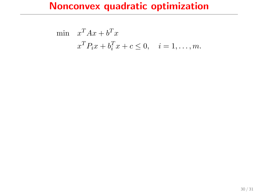$$
\begin{aligned}\n\min \quad & x^T A x + b^T x \\
& x^T P_i x + b_i^T x + c \le 0, \quad i = 1, \dots, m.\n\end{aligned}
$$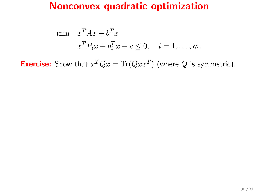$$
\begin{aligned}\n\min \quad & x^T A x + b^T x \\
& x^T P_i x + b_i^T x + c \le 0, \quad i = 1, \dots, m.\n\end{aligned}
$$

**Exercise:** Show that  $x^T Q x = \text{Tr}(Q x x^T)$  (where Q is symmetric).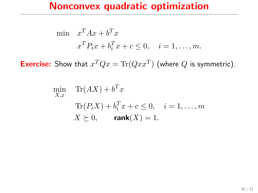$$
\begin{aligned}\n\min \quad & x^T A x + b^T x \\
& x^T P_i x + b_i^T x + c \le 0, \quad i = 1, \dots, m.\n\end{aligned}
$$

**Exercise:** Show that  $x^T Q x = \text{Tr}(Q x x^T)$  (where Q is symmetric).

$$
\min_{X,x} \quad \text{Tr}(AX) + b^T x
$$
\n
$$
\text{Tr}(P_i X) + b_i^T x + c \le 0, \quad i = 1, \dots, m
$$
\n
$$
X \succeq 0, \quad \text{rank}(X) = 1.
$$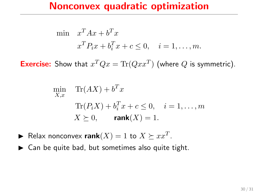$$
\begin{aligned}\n\min \quad & x^T A x + b^T x \\
& x^T P_i x + b_i^T x + c \le 0, \quad i = 1, \dots, m.\n\end{aligned}
$$

**Exercise:** Show that  $x^T Q x = \text{Tr}(Q x x^T)$  (where Q is symmetric).

$$
\min_{X,x} \quad \text{Tr}(AX) + b^T x
$$
\n
$$
\text{Tr}(P_i X) + b_i^T x + c \le 0, \quad i = 1, \dots, m
$$
\n
$$
X \succeq 0, \quad \text{rank}(X) = 1.
$$

- Relax nonconvex rank $(X) = 1$  to  $X \succeq xx^T$ .
- $\triangleright$  Can be quite bad, but sometimes also quite tight.